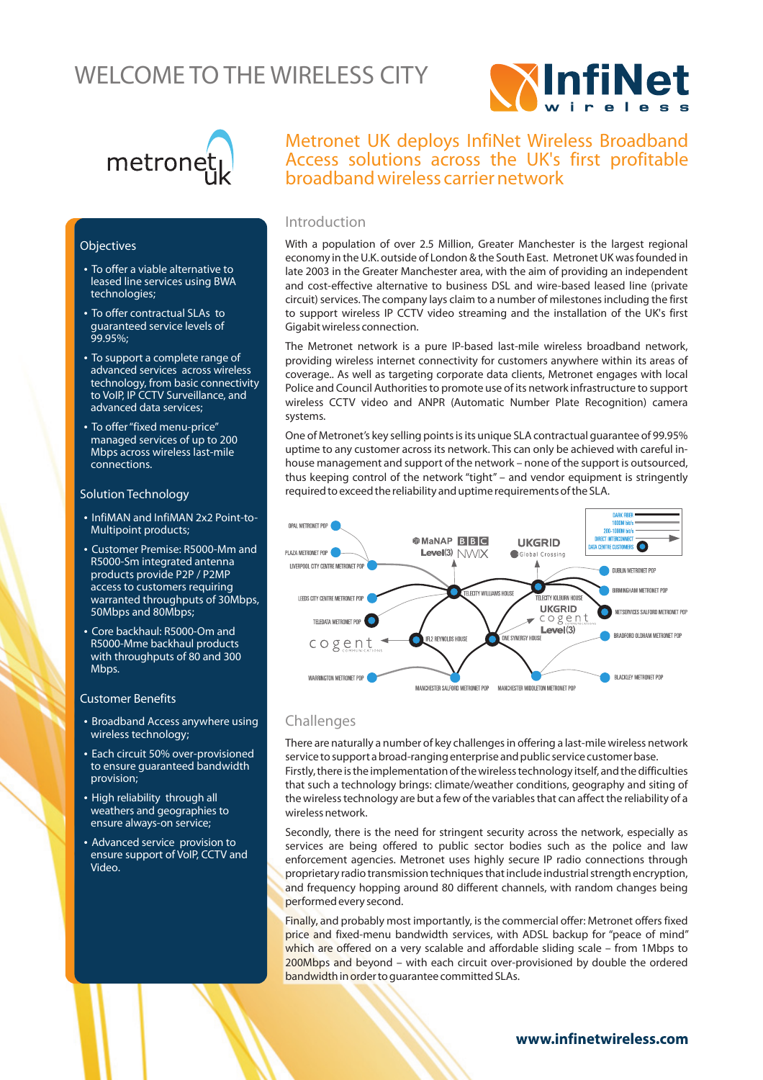# WELCOME TO THE WIRELESS CITY





## **Objectives**

- To offer a viable alternative to leased line services using BWA technologies;
- To offer contractual SLAs to guaranteed service levels of 99.95%;
- To support a complete range of advanced services across wireless technology, from basic connectivity to VoIP, IP CCTV Surveillance, and advanced data services;
- To offer "fixed menu-price" managed services of up to 200 Mbps across wireless last-mile connections.

#### Solution Technology

- InfiMAN and InfiMAN 2x2 Point-to-Multipoint products ;
- Customer Premise: R5000-Mm and R5000-Sm integrated antenna products provide P2P / P2MP access to customers requiring warranted throughputs of 30Mbps, 50Mbps and 80Mbps;
- Core backhaul: R5000-Om and R5000-Mme backhaul products with throughputs of 80 and 300 Mbps.

#### Customer Benefits

- Broadband Access anywhere using wireless technology;
- Each circuit 50% over-provisioned to ensure guaranteed bandwidth provision;
- High reliability through all weathers and geographies to ensure always-on service;
- Advanced service provision to ensure support of VoIP, CCTV and Video .

## Metronet UK deploys InfiNet Wireless Broadband Access solutions across the UK's first profitable broadband wireless carrier network

## Introduction

With a population of over 2.5 Million, Greater Manchester is the largest regional economy in the U.K. outside of London & the South East. Metronet UK was founded in late 2003 in the Greater Manchester area, with the aim of providing an independent and cost-effective alternative to business DSL and wire-based leased line (private circuit) services. The company lays claim to a number of milestones including the first to support wireless IP CCTV video streaming and the installation of the UK's first Gigabit wireless connection.

The Metronet network is a pure IP-based last-mile wireless broadband network, providing wireless internet connectivity for customers anywhere within its areas of coverage.. As well as targeting corporate data clients, Metronet engages with local Police and Council Authorities to promote use of its network infrastructure to support wireless CCTV video and ANPR (Automatic Number Plate Recognition) camera systems.

One of Metronet's key selling points is its unique SLA contractual guarantee of 99.95% uptime to any customer across its network. This can only be achieved with careful inhouse management and support of the network – none of the support is outsourced, thus keeping control of the network "tight" – and vendor equipment is stringently required to exceed the reliability and uptime requirements of the SLA.



## Challenges

There are naturally a number of key challenges in offering a last-mile wireless network service to support a broad-ranging enterprise and public service customer base. Firstly, there is the implementation of the wireless technology itself, and the difficulties that such a technology brings: climate/weather conditions, geography and siting of the wireless technology are but a few of the variables that can affect the reliability of a wireless network.

Secondly, there is the need for stringent security across the network, especially as services are being offered to public sector bodies such as the police and law enforcement agencies. Metronet uses highly secure IP radio connections through proprietary radio transmission techniques that include industrial strength encryption, and frequency hopping around 80 different channels, with random changes being performed every second.

Finally, and probably most importantly, is the commercial offer: Metronet offers fixed price and fixed-menu bandwidth services, with ADSL backup for "peace of mind" which are offered on a very scalable and affordable sliding scale – from 1Mbps to 200Mbps and beyond – with each circuit over-provisioned by double the ordered bandwidth in order to guarantee committed SLAs.

## www.infinetwireless.com